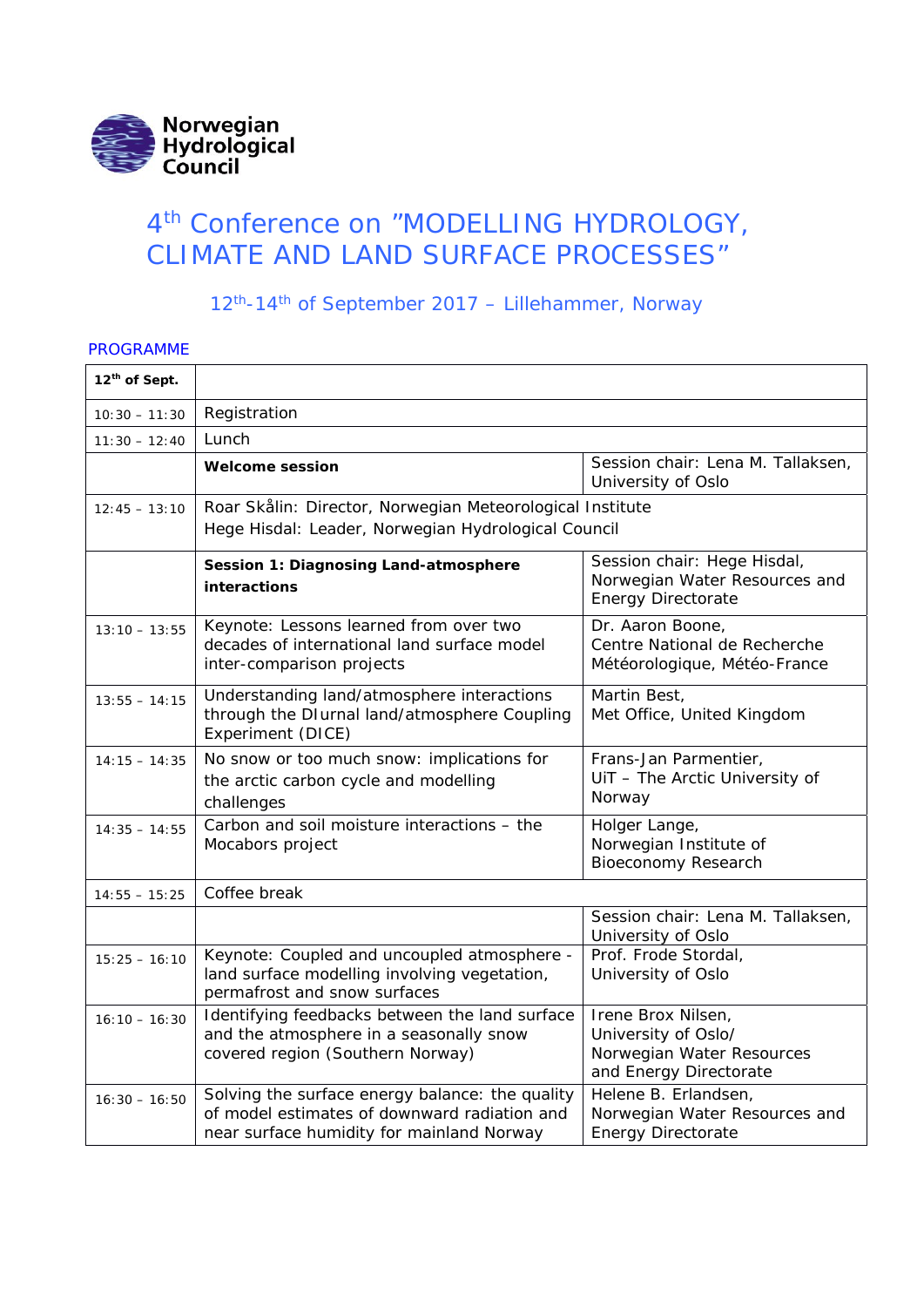

# 4<sup>th</sup> Conference on "MODELLING HYDROLOGY, CLIMATE AND LAND SURFACE PROCESSES"

12th-14th of September 2017 – Lillehammer, Norway

#### PROGRAMME

| 12th of Sept.   |                                                                                                                                              |                                                                                                  |  |
|-----------------|----------------------------------------------------------------------------------------------------------------------------------------------|--------------------------------------------------------------------------------------------------|--|
| $10:30 - 11:30$ | Registration                                                                                                                                 |                                                                                                  |  |
| $11:30 - 12:40$ | Lunch                                                                                                                                        |                                                                                                  |  |
|                 | <b>Welcome session</b>                                                                                                                       | Session chair: Lena M. Tallaksen,<br>University of Oslo                                          |  |
| $12:45 - 13:10$ | Roar Skålin: Director, Norwegian Meteorological Institute<br>Hege Hisdal: Leader, Norwegian Hydrological Council                             |                                                                                                  |  |
|                 | Session 1: Diagnosing Land-atmosphere<br>interactions                                                                                        | Session chair: Hege Hisdal,<br>Norwegian Water Resources and<br><b>Energy Directorate</b>        |  |
| $13:10 - 13:55$ | Keynote: Lessons learned from over two<br>decades of international land surface model<br>inter-comparison projects                           | Dr. Aaron Boone,<br>Centre National de Recherche<br>Météorologique, Météo-France                 |  |
| $13:55 - 14:15$ | Understanding land/atmosphere interactions<br>through the DIurnal land/atmosphere Coupling<br>Experiment (DICE)                              | Martin Best,<br>Met Office, United Kingdom                                                       |  |
| $14:15 - 14:35$ | No snow or too much snow: implications for<br>the arctic carbon cycle and modelling<br>challenges                                            | Frans-Jan Parmentier,<br>UiT - The Arctic University of<br>Norway                                |  |
| $14:35 - 14:55$ | Carbon and soil moisture interactions - the<br>Mocabors project                                                                              | Holger Lange,<br>Norwegian Institute of<br><b>Bioeconomy Research</b>                            |  |
| $14:55 - 15:25$ | Coffee break                                                                                                                                 |                                                                                                  |  |
|                 |                                                                                                                                              | Session chair: Lena M. Tallaksen,<br>University of Oslo                                          |  |
| $15:25 - 16:10$ | Keynote: Coupled and uncoupled atmosphere -<br>land surface modelling involving vegetation,<br>permafrost and snow surfaces                  | Prof. Frode Stordal,<br>University of Oslo                                                       |  |
| $16:10 - 16:30$ | Identifying feedbacks between the land surface<br>and the atmosphere in a seasonally snow<br>covered region (Southern Norway)                | Irene Brox Nilsen,<br>University of Oslo/<br>Norwegian Water Resources<br>and Energy Directorate |  |
| $16:30 - 16:50$ | Solving the surface energy balance: the quality<br>of model estimates of downward radiation and<br>near surface humidity for mainland Norway | Helene B. Erlandsen,<br>Norwegian Water Resources and<br><b>Energy Directorate</b>               |  |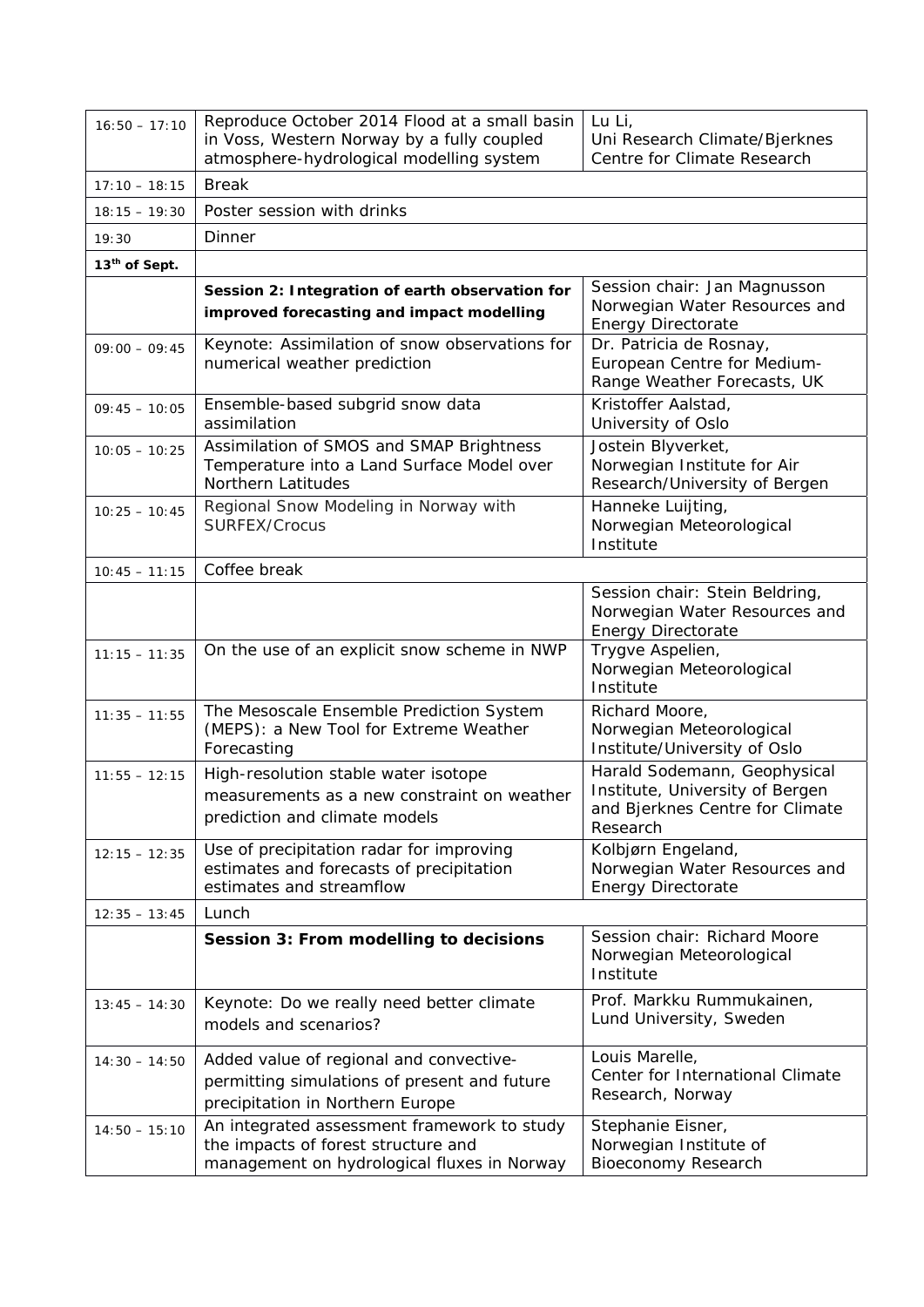| $16:50 - 17:10$           | Reproduce October 2014 Flood at a small basin<br>in Voss, Western Norway by a fully coupled<br>atmosphere-hydrological modelling system | Lu Li,<br>Uni Research Climate/Bjerknes<br>Centre for Climate Research                                         |  |
|---------------------------|-----------------------------------------------------------------------------------------------------------------------------------------|----------------------------------------------------------------------------------------------------------------|--|
| $17:10 - 18:15$           | <b>Break</b>                                                                                                                            |                                                                                                                |  |
| $18:15 - 19:30$           | Poster session with drinks                                                                                                              |                                                                                                                |  |
| 19:30                     | Dinner                                                                                                                                  |                                                                                                                |  |
| 13 <sup>th</sup> of Sept. |                                                                                                                                         |                                                                                                                |  |
|                           | Session 2: Integration of earth observation for<br>improved forecasting and impact modelling                                            | Session chair: Jan Magnusson<br>Norwegian Water Resources and<br>Energy Directorate                            |  |
| $09:00 - 09:45$           | Keynote: Assimilation of snow observations for<br>numerical weather prediction                                                          | Dr. Patricia de Rosnay,<br>European Centre for Medium-<br>Range Weather Forecasts, UK                          |  |
| $09:45 - 10:05$           | Ensemble-based subgrid snow data<br>assimilation                                                                                        | Kristoffer Aalstad,<br>University of Oslo                                                                      |  |
| $10:05 - 10:25$           | Assimilation of SMOS and SMAP Brightness<br>Temperature into a Land Surface Model over<br>Northern Latitudes                            | Jostein Blyverket,<br>Norwegian Institute for Air<br>Research/University of Bergen                             |  |
| $10:25 - 10:45$           | Regional Snow Modeling in Norway with<br>SURFEX/Crocus                                                                                  | Hanneke Luijting,<br>Norwegian Meteorological<br>Institute                                                     |  |
| $10:45 - 11:15$           | Coffee break                                                                                                                            |                                                                                                                |  |
|                           |                                                                                                                                         | Session chair: Stein Beldring,<br>Norwegian Water Resources and<br>Energy Directorate                          |  |
| $11:15 - 11:35$           | On the use of an explicit snow scheme in NWP                                                                                            | Trygve Aspelien,<br>Norwegian Meteorological<br>Institute                                                      |  |
| $11:35 - 11:55$           | The Mesoscale Ensemble Prediction System<br>(MEPS): a New Tool for Extreme Weather<br>Forecasting                                       | Richard Moore,<br>Norwegian Meteorological<br>Institute/University of Oslo                                     |  |
| $11:55 - 12:15$           | High-resolution stable water isotope<br>measurements as a new constraint on weather<br>prediction and climate models                    | Harald Sodemann, Geophysical<br>Institute, University of Bergen<br>and Bjerknes Centre for Climate<br>Research |  |
| $12:15 - 12:35$           | Use of precipitation radar for improving<br>estimates and forecasts of precipitation<br>estimates and streamflow                        | Kolbjørn Engeland,<br>Norwegian Water Resources and<br><b>Energy Directorate</b>                               |  |
| $12:35 - 13:45$           | Lunch                                                                                                                                   |                                                                                                                |  |
|                           | Session 3: From modelling to decisions                                                                                                  | Session chair: Richard Moore<br>Norwegian Meteorological<br>Institute                                          |  |
| $13:45 - 14:30$           | Keynote: Do we really need better climate<br>models and scenarios?                                                                      | Prof. Markku Rummukainen,<br>Lund University, Sweden                                                           |  |
| $14:30 - 14:50$           | Added value of regional and convective-<br>permitting simulations of present and future<br>precipitation in Northern Europe             | Louis Marelle,<br>Center for International Climate<br>Research, Norway                                         |  |
| $14:50 - 15:10$           | An integrated assessment framework to study<br>the impacts of forest structure and<br>management on hydrological fluxes in Norway       | Stephanie Eisner,<br>Norwegian Institute of<br><b>Bioeconomy Research</b>                                      |  |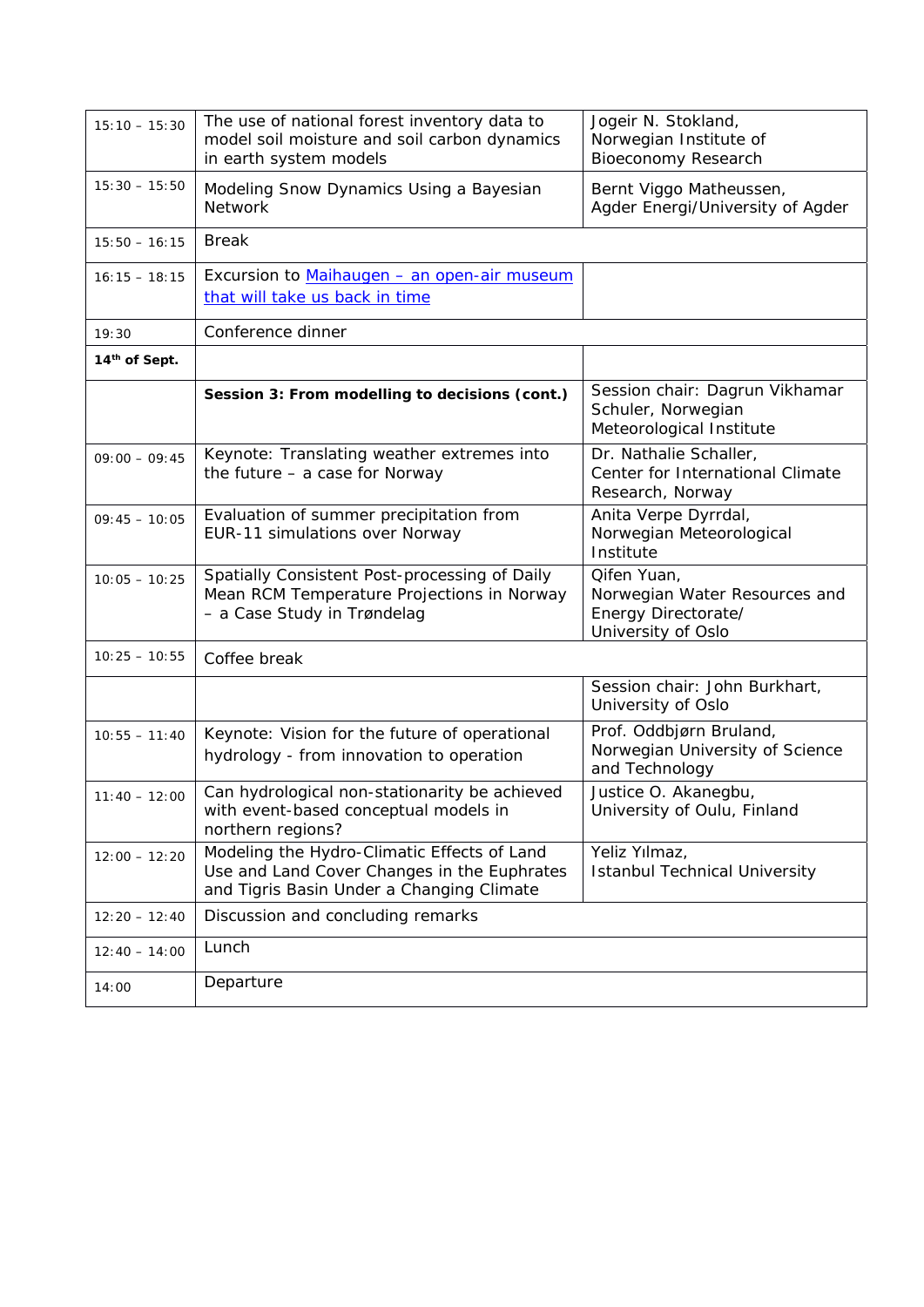| $15:10 - 15:30$           | The use of national forest inventory data to<br>model soil moisture and soil carbon dynamics<br>in earth system models                  | Jogeir N. Stokland,<br>Norwegian Institute of<br><b>Bioeconomy Research</b>               |
|---------------------------|-----------------------------------------------------------------------------------------------------------------------------------------|-------------------------------------------------------------------------------------------|
| $15:30 - 15:50$           | Modeling Snow Dynamics Using a Bayesian<br><b>Network</b>                                                                               | Bernt Viggo Matheussen,<br>Agder Energi/University of Agder                               |
| $15:50 - 16:15$           | <b>Break</b>                                                                                                                            |                                                                                           |
| $16:15 - 18:15$           | Excursion to Maihaugen - an open-air museum<br>that will take us back in time                                                           |                                                                                           |
| 19:30                     | Conference dinner                                                                                                                       |                                                                                           |
| 14 <sup>th</sup> of Sept. |                                                                                                                                         |                                                                                           |
|                           | Session 3: From modelling to decisions (cont.)                                                                                          | Session chair: Dagrun Vikhamar<br>Schuler, Norwegian<br>Meteorological Institute          |
| $09:00 - 09:45$           | Keynote: Translating weather extremes into<br>the future - a case for Norway                                                            | Dr. Nathalie Schaller,<br>Center for International Climate<br>Research, Norway            |
| $09:45 - 10:05$           | Evaluation of summer precipitation from<br>EUR-11 simulations over Norway                                                               | Anita Verpe Dyrrdal,<br>Norwegian Meteorological<br>Institute                             |
| $10:05 - 10:25$           | Spatially Consistent Post-processing of Daily<br>Mean RCM Temperature Projections in Norway<br>- a Case Study in Trøndelag              | Qifen Yuan,<br>Norwegian Water Resources and<br>Energy Directorate/<br>University of Oslo |
| $10:25 - 10:55$           | Coffee break                                                                                                                            |                                                                                           |
|                           |                                                                                                                                         | Session chair: John Burkhart,<br>University of Oslo                                       |
| $10:55 - 11:40$           | Keynote: Vision for the future of operational<br>hydrology - from innovation to operation                                               | Prof. Oddbjørn Bruland,<br>Norwegian University of Science<br>and Technology              |
| $11:40 - 12:00$           | Can hydrological non-stationarity be achieved<br>with event-based conceptual models in<br>northern regions?                             | Justice O. Akanegbu,<br>University of Oulu, Finland                                       |
| $12:00 - 12:20$           | Modeling the Hydro-Climatic Effects of Land<br>Use and Land Cover Changes in the Euphrates<br>and Tigris Basin Under a Changing Climate | Yeliz Yılmaz,<br><b>Istanbul Technical University</b>                                     |
| $12:20 - 12:40$           | Discussion and concluding remarks                                                                                                       |                                                                                           |
| $12:40 - 14:00$           | Lunch                                                                                                                                   |                                                                                           |
| 14:00                     | Departure                                                                                                                               |                                                                                           |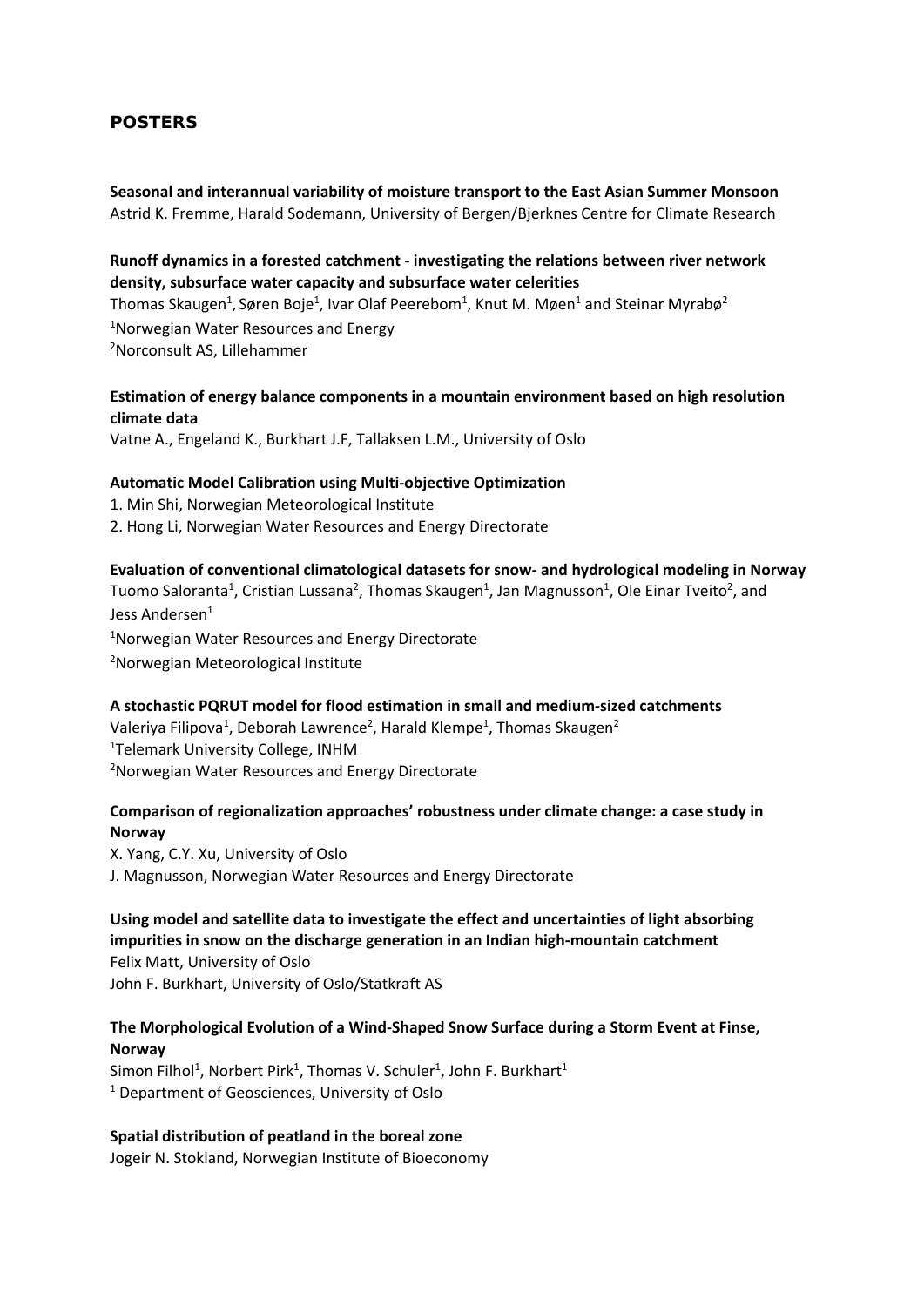# **POSTERS**

**Seasonal and interannual variability of moisture transport to the East Asian Summer Monsoon** Astrid K. Fremme, Harald Sodemann, University of Bergen/Bjerknes Centre for Climate Research

#### **Runoff dynamics in a forested catchment ‐ investigating the relations between river network density, subsurface water capacity and subsurface water celerities**

Thomas Skaugen<sup>1</sup>, Søren Boje<sup>1</sup>, Ivar Olaf Peerebom<sup>1</sup>, Knut M. Møen<sup>1</sup> and Steinar Myrabø<sup>2</sup> 1 Norwegian Water Resources and Energy 2 Norconsult AS, Lillehammer

# **Estimation of energy balance components in a mountain environment based on high resolution climate data**

Vatne A., Engeland K., Burkhart J.F, Tallaksen L.M., University of Oslo

#### **Automatic Model Calibration using Multi‐objective Optimization**

1. Min Shi, Norwegian Meteorological Institute 2. Hong Li, Norwegian Water Resources and Energy Directorate

#### **Evaluation of conventional climatological datasets for snow‐ and hydrological modeling in Norway**

Tuomo Saloranta<sup>1</sup>, Cristian Lussana<sup>2</sup>, Thomas Skaugen<sup>1</sup>, Jan Magnusson<sup>1</sup>, Ole Einar Tveito<sup>2</sup>, and Jess Andersen<sup>1</sup>

<sup>1</sup>Norwegian Water Resources and Energy Directorate 2 Norwegian Meteorological Institute

#### **A stochastic PQRUT model for flood estimation in small and medium‐sized catchments**

Valeriya Filipova<sup>1</sup>, Deborah Lawrence<sup>2</sup>, Harald Klempe<sup>1</sup>, Thomas Skaugen<sup>2</sup> 1 Telemark University College, INHM 2 Norwegian Water Resources and Energy Directorate

# **Comparison of regionalization approaches' robustness under climate change: a case study in Norway**

X. Yang, C.Y. Xu, University of Oslo J. Magnusson, Norwegian Water Resources and Energy Directorate

# **Using model and satellite data to investigate the effect and uncertainties of light absorbing impurities in snow on the discharge generation in an Indian high‐mountain catchment**

Felix Matt, University of Oslo John F. Burkhart, University of Oslo/Statkraft AS

#### **The Morphological Evolution of a Wind‐Shaped Snow Surface during a Storm Event at Finse, Norway**

Simon Filhol<sup>1</sup>, Norbert Pirk<sup>1</sup>, Thomas V. Schuler<sup>1</sup>, John F. Burkhart<sup>1</sup> <sup>1</sup> Department of Geosciences, University of Oslo

#### **Spatial distribution of peatland in the boreal zone**

Jogeir N. Stokland, Norwegian Institute of Bioeconomy